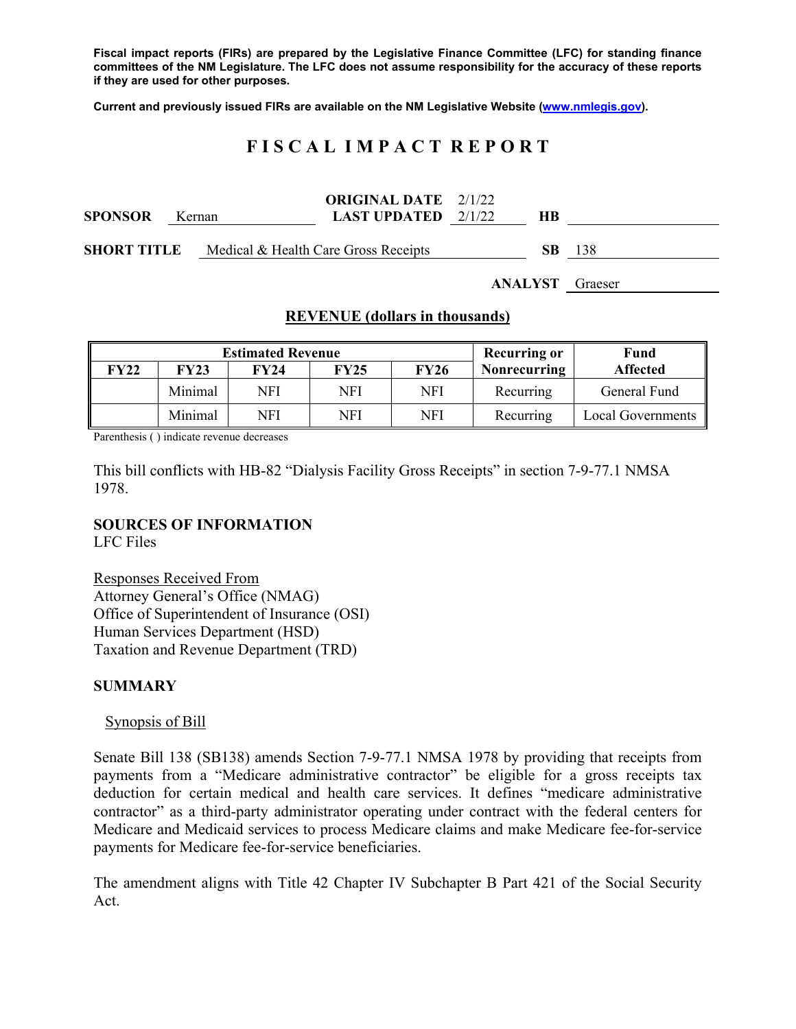**Fiscal impact reports (FIRs) are prepared by the Legislative Finance Committee (LFC) for standing finance committees of the NM Legislature. The LFC does not assume responsibility for the accuracy of these reports if they are used for other purposes.** 

**Current and previously issued FIRs are available on the NM Legislative Website (www.nmlegis.gov).** 

# **F I S C A L I M P A C T R E P O R T**

| <b>SPONSOR</b>     |  | Kernan                               | <b>ORIGINAL DATE</b> 2/1/22<br><b>LAST UPDATED</b> $2/1/22$ | HВ      |         |  |
|--------------------|--|--------------------------------------|-------------------------------------------------------------|---------|---------|--|
| <b>SHORT TITLE</b> |  | Medical & Health Care Gross Receipts | SB.                                                         | 138     |         |  |
|                    |  |                                      |                                                             | ANALYST | Graeser |  |

### **REVENUE (dollars in thousands)**

|             |         | <b>Estimated Revenue</b> | <b>Recurring or</b> | <b>Fund</b> |              |                   |
|-------------|---------|--------------------------|---------------------|-------------|--------------|-------------------|
| <b>FY22</b> | FY23    | <b>FY24</b>              | <b>FY25</b>         | <b>FY26</b> | Nonrecurring | <b>Affected</b>   |
|             | Minimal | NFI                      | NFI                 | NFI         | Recurring    | General Fund      |
|             | Minimal | NFI                      | NFI                 | NFI         | Recurring    | Local Governments |

Parenthesis ( ) indicate revenue decreases

This bill conflicts with HB-82 "Dialysis Facility Gross Receipts" in section 7-9-77.1 NMSA 1978.

## **SOURCES OF INFORMATION**

LFC Files

Responses Received From Attorney General's Office (NMAG) Office of Superintendent of Insurance (OSI) Human Services Department (HSD) Taxation and Revenue Department (TRD)

#### **SUMMARY**

Synopsis of Bill

Senate Bill 138 (SB138) amends Section 7-9-77.1 NMSA 1978 by providing that receipts from payments from a "Medicare administrative contractor" be eligible for a gross receipts tax deduction for certain medical and health care services. It defines "medicare administrative contractor" as a third-party administrator operating under contract with the federal centers for Medicare and Medicaid services to process Medicare claims and make Medicare fee-for-service payments for Medicare fee-for-service beneficiaries.

The amendment aligns with Title 42 Chapter IV Subchapter B Part 421 of the Social Security Act.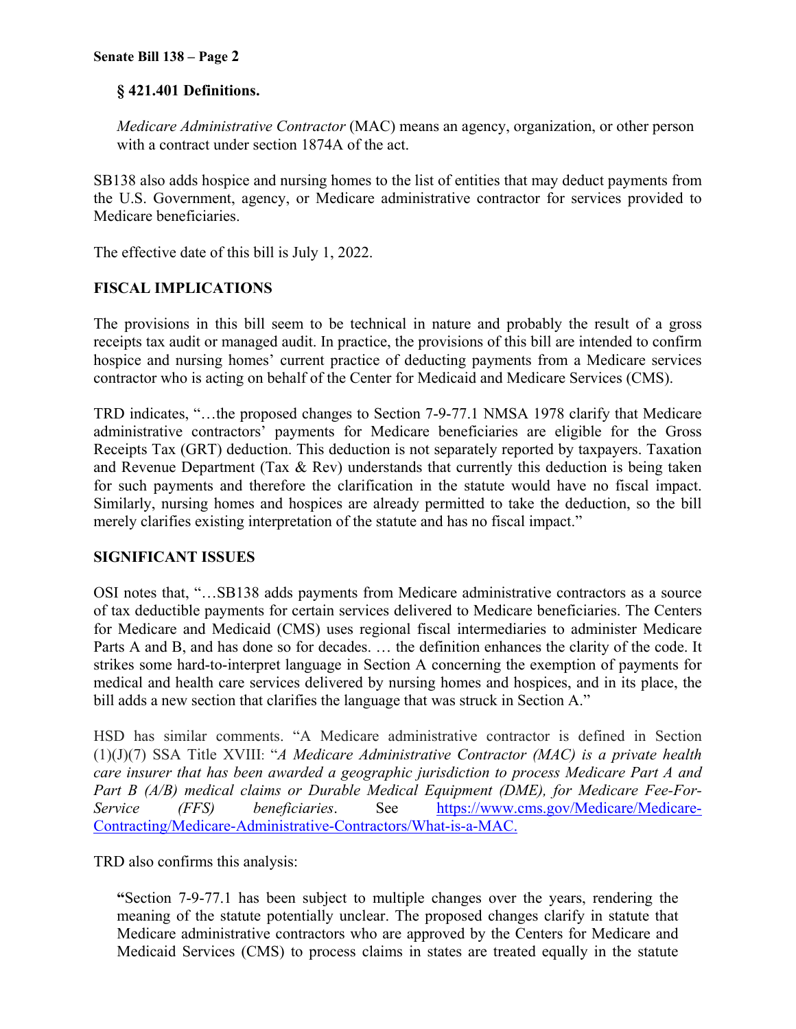# **§ 421.401 Definitions.**

*Medicare Administrative Contractor* (MAC) means an agency, organization, or other person with a contract under section 1874A of the act.

SB138 also adds hospice and nursing homes to the list of entities that may deduct payments from the U.S. Government, agency, or Medicare administrative contractor for services provided to Medicare beneficiaries.

The effective date of this bill is July 1, 2022.

# **FISCAL IMPLICATIONS**

The provisions in this bill seem to be technical in nature and probably the result of a gross receipts tax audit or managed audit. In practice, the provisions of this bill are intended to confirm hospice and nursing homes' current practice of deducting payments from a Medicare services contractor who is acting on behalf of the Center for Medicaid and Medicare Services (CMS).

TRD indicates, "…the proposed changes to Section 7-9-77.1 NMSA 1978 clarify that Medicare administrative contractors' payments for Medicare beneficiaries are eligible for the Gross Receipts Tax (GRT) deduction. This deduction is not separately reported by taxpayers. Taxation and Revenue Department (Tax & Rev) understands that currently this deduction is being taken for such payments and therefore the clarification in the statute would have no fiscal impact. Similarly, nursing homes and hospices are already permitted to take the deduction, so the bill merely clarifies existing interpretation of the statute and has no fiscal impact."

## **SIGNIFICANT ISSUES**

OSI notes that, "…SB138 adds payments from Medicare administrative contractors as a source of tax deductible payments for certain services delivered to Medicare beneficiaries. The Centers for Medicare and Medicaid (CMS) uses regional fiscal intermediaries to administer Medicare Parts A and B, and has done so for decades. … the definition enhances the clarity of the code. It strikes some hard-to-interpret language in Section A concerning the exemption of payments for medical and health care services delivered by nursing homes and hospices, and in its place, the bill adds a new section that clarifies the language that was struck in Section A."

HSD has similar comments. "A Medicare administrative contractor is defined in Section (1)(J)(7) SSA Title XVIII: "*A Medicare Administrative Contractor (MAC) is a private health care insurer that has been awarded a geographic jurisdiction to process Medicare Part A and Part B (A/B) medical claims or Durable Medical Equipment (DME), for Medicare Fee-For-Service (FFS) beneficiaries*. See https://www.cms.gov/Medicare/Medicare-Contracting/Medicare-Administrative-Contractors/What-is-a-MAC.

TRD also confirms this analysis:

**"**Section 7-9-77.1 has been subject to multiple changes over the years, rendering the meaning of the statute potentially unclear. The proposed changes clarify in statute that Medicare administrative contractors who are approved by the Centers for Medicare and Medicaid Services (CMS) to process claims in states are treated equally in the statute